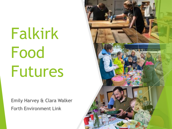Falkirk Food Futures

Emily Harvey & Clara Walker Forth Environment Link

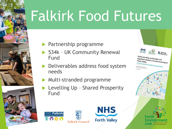# Falkirk Food Futures





- Partnership programme
- 534k UK Community Renewal Fund
- **Deliverables address food system** needs
- **Multi-stranded programme** 
	- Levelling Up Shared Prosperity Fund





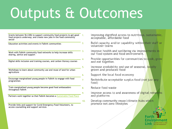## Outputs & Outcomes

| Grants between 5k-£30k to support community food projects to get good<br>food projects underway; and create new jobs in the food community<br>sector |
|------------------------------------------------------------------------------------------------------------------------------------------------------|
| Education activities and events in Falkirk communities                                                                                               |
| Work with Falkirk community food networks to help increase skills<br>sharing, advice and support                                                     |
| Digital skills inclusion and training courses, and carbon literacy courses                                                                           |
| Workshops to learn about community use and reuse of land for urban<br>agriculture                                                                    |
| Encourage marginalised young people in Falkirk to engage with food<br>programmes                                                                     |
| Train marginalised young people become good food ambassadors<br>throughout Falkirk                                                                   |
| Partners work together so that Falkirk becomes a Sustainable Food Place                                                                              |
| Provide links and support for Covid Emergency Food Volunteers, to<br>access counselling and support services                                         |

- Improving dignified access to nutritious, sustainable, acceptable, affordable food
- Build capacity and/or capability within their staff or volunteer teams
- Improve health and wellbeing via improvements in our food system and food environment.
- Provide opportunities for communities to cook, grow and eat together.
- Increase availability and use of seasonal, locally grown and produced food
- Support the local food economy
- Redistribute acceptable surplus food (not just any food)
- Reduce food waste
- Improve access to and awareness of digital networks and platforms
- Develop community reuse/climate hubs which promote net zero lifestyles

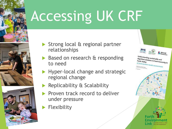

- Strong local & regional partner relationships
- Based on research & responding to need
- Hyper-local change and strategic regional change
	- Replicability & Scalability
	- Proven track record to deliver under pressure
	- Flexibility

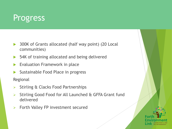#### Progress

- ▶ 300K of Grants allocated (half way point) (20 Local communities)
- 54K of training allocated and being delivered
- Evaluation Framework in place
- Sustainable Food Place in progress

Regional

- $\triangleright$  Stirling & Clacks Food Partnerships
- Stirling Good Food for All Launched & GFFA Grant fund delivered
- $\triangleright$  Forth Valley FP investment secured